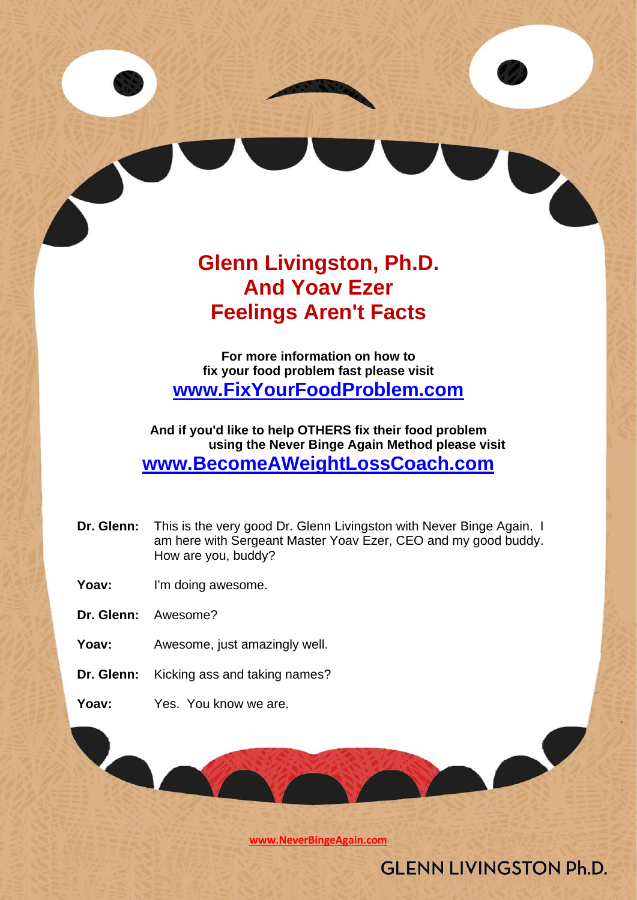# **Glenn Livingston, Ph.D. And Yoav Ezer Feelings Aren't Facts**

**For more information on how to fix your food problem fast please visit [www.FixYourFoodProblem.com](http://www.fixyourfoodproblem.com/)**

**And if you'd like to help OTHERS fix their food problem using the Never Binge Again Method please visit [www.BecomeAWeightLossCoach.com](http://www.becomeaweightlosscoach.com/)**

- **Dr. Glenn:** This is the very good Dr. Glenn Livingston with Never Binge Again. I am here with Sergeant Master Yoav Ezer, CEO and my good buddy. How are you, buddy?
- Yoav: I'm doing awesome.
- **Dr. Glenn:** Awesome?
- Yoav: Awesome, just amazingly well.
- **Dr. Glenn:** Kicking ass and taking names?
- **Yoav:** Yes. You know we are.

**[www.NeverBingeAgain.com](http://www.neverbingeagain.com/)**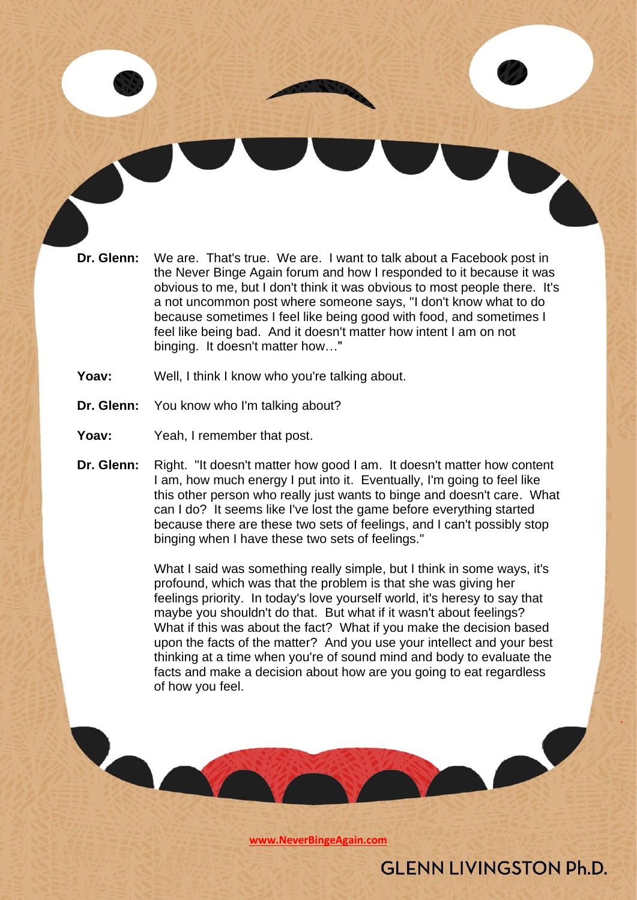- **Dr. Glenn:** We are. That's true. We are. I want to talk about a Facebook post in the Never Binge Again forum and how I responded to it because it was obvious to me, but I don't think it was obvious to most people there. It's a not uncommon post where someone says, "I don't know what to do because sometimes I feel like being good with food, and sometimes I feel like being bad. And it doesn't matter how intent I am on not binging. It doesn't matter how…"
- Yoav: Well, I think I know who you're talking about.
- **Dr. Glenn:** You know who I'm talking about?
- Yoav: Yeah, I remember that post.
- **Dr. Glenn:** Right. "It doesn't matter how good I am. It doesn't matter how content I am, how much energy I put into it. Eventually, I'm going to feel like this other person who really just wants to binge and doesn't care. What can I do? It seems like I've lost the game before everything started because there are these two sets of feelings, and I can't possibly stop binging when I have these two sets of feelings."

What I said was something really simple, but I think in some ways, it's profound, which was that the problem is that she was giving her feelings priority. In today's love yourself world, it's heresy to say that maybe you shouldn't do that. But what if it wasn't about feelings? What if this was about the fact? What if you make the decision based upon the facts of the matter? And you use your intellect and your best thinking at a time when you're of sound mind and body to evaluate the facts and make a decision about how are you going to eat regardless of how you feel.

**[www.NeverBingeAgain.com](http://www.neverbingeagain.com/)**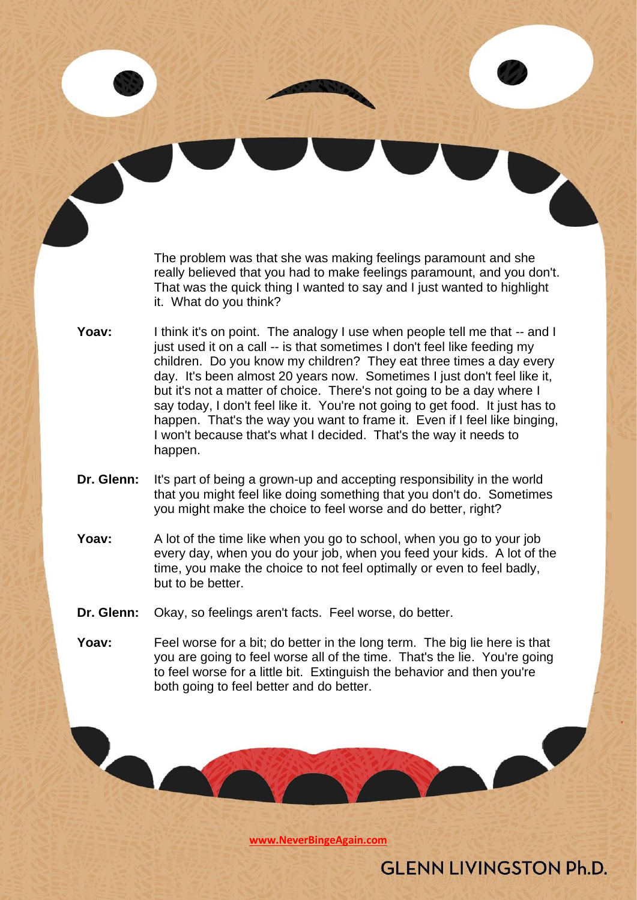The problem was that she was making feelings paramount and she really believed that you had to make feelings paramount, and you don't. That was the quick thing I wanted to say and I just wanted to highlight it. What do you think?

- Yoav: I think it's on point. The analogy I use when people tell me that -- and I just used it on a call -- is that sometimes I don't feel like feeding my children. Do you know my children? They eat three times a day every day. It's been almost 20 years now. Sometimes I just don't feel like it, but it's not a matter of choice. There's not going to be a day where I say today, I don't feel like it. You're not going to get food. It just has to happen. That's the way you want to frame it. Even if I feel like binging, I won't because that's what I decided. That's the way it needs to happen.
- **Dr. Glenn:** It's part of being a grown-up and accepting responsibility in the world that you might feel like doing something that you don't do. Sometimes you might make the choice to feel worse and do better, right?
- **Yoav:** A lot of the time like when you go to school, when you go to your job every day, when you do your job, when you feed your kids. A lot of the time, you make the choice to not feel optimally or even to feel badly, but to be better.
- **Dr. Glenn:** Okay, so feelings aren't facts. Feel worse, do better.
- **Yoav:** Feel worse for a bit; do better in the long term. The big lie here is that you are going to feel worse all of the time. That's the lie. You're going to feel worse for a little bit. Extinguish the behavior and then you're both going to feel better and do better.

**[www.NeverBingeAgain.com](http://www.neverbingeagain.com/)**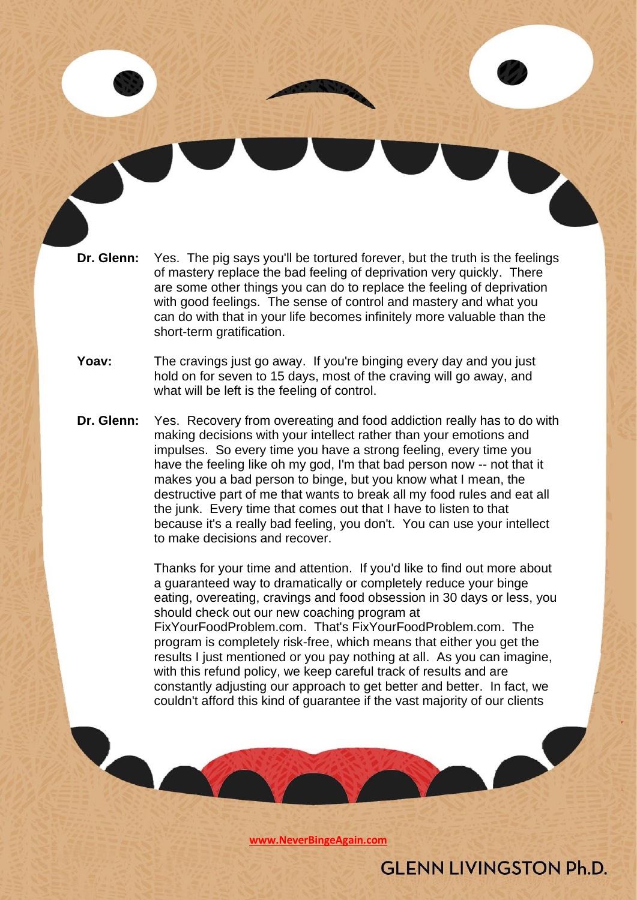- **Dr. Glenn:** Yes. The pig says you'll be tortured forever, but the truth is the feelings of mastery replace the bad feeling of deprivation very quickly. There are some other things you can do to replace the feeling of deprivation with good feelings. The sense of control and mastery and what you can do with that in your life becomes infinitely more valuable than the short-term gratification.
- **Yoav:** The cravings just go away. If you're binging every day and you just hold on for seven to 15 days, most of the craving will go away, and what will be left is the feeling of control.
- **Dr. Glenn:** Yes. Recovery from overeating and food addiction really has to do with making decisions with your intellect rather than your emotions and impulses. So every time you have a strong feeling, every time you have the feeling like oh my god, I'm that bad person now -- not that it makes you a bad person to binge, but you know what I mean, the destructive part of me that wants to break all my food rules and eat all the junk. Every time that comes out that I have to listen to that because it's a really bad feeling, you don't. You can use your intellect to make decisions and recover.

Thanks for your time and attention. If you'd like to find out more about a guaranteed way to dramatically or completely reduce your binge eating, overeating, cravings and food obsession in 30 days or less, you should check out our new coaching program at FixYourFoodProblem.com. That's FixYourFoodProblem.com. The program is completely risk-free, which means that either you get the results I just mentioned or you pay nothing at all. As you can imagine, with this refund policy, we keep careful track of results and are constantly adjusting our approach to get better and better. In fact, we couldn't afford this kind of guarantee if the vast majority of our clients

**[www.NeverBingeAgain.com](http://www.neverbingeagain.com/)**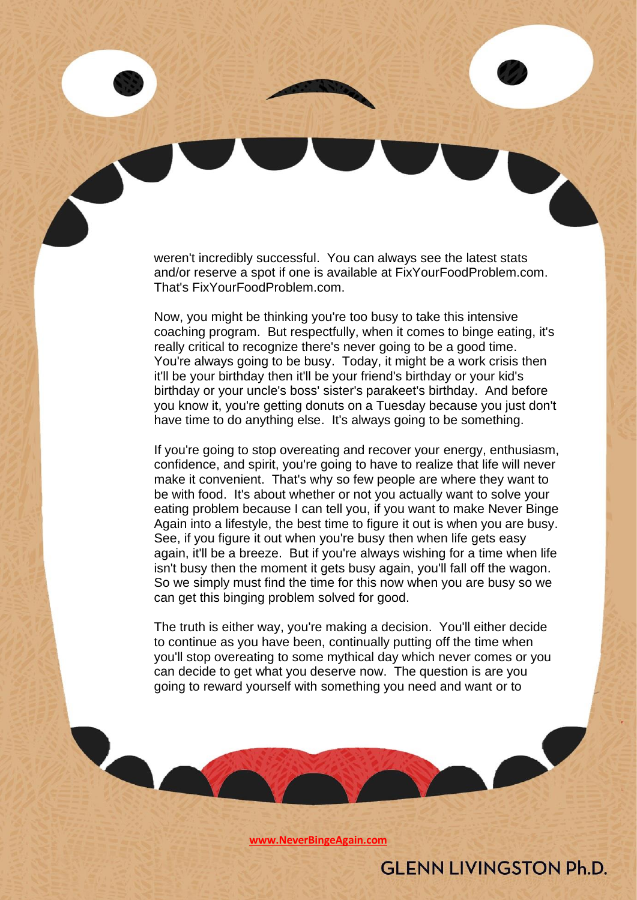weren't incredibly successful. You can always see the latest stats and/or reserve a spot if one is available at FixYourFoodProblem.com. That's FixYourFoodProblem.com.

Now, you might be thinking you're too busy to take this intensive coaching program. But respectfully, when it comes to binge eating, it's really critical to recognize there's never going to be a good time. You're always going to be busy. Today, it might be a work crisis then it'll be your birthday then it'll be your friend's birthday or your kid's birthday or your uncle's boss' sister's parakeet's birthday. And before you know it, you're getting donuts on a Tuesday because you just don't have time to do anything else. It's always going to be something.

If you're going to stop overeating and recover your energy, enthusiasm, confidence, and spirit, you're going to have to realize that life will never make it convenient. That's why so few people are where they want to be with food. It's about whether or not you actually want to solve your eating problem because I can tell you, if you want to make Never Binge Again into a lifestyle, the best time to figure it out is when you are busy. See, if you figure it out when you're busy then when life gets easy again, it'll be a breeze. But if you're always wishing for a time when life isn't busy then the moment it gets busy again, you'll fall off the wagon. So we simply must find the time for this now when you are busy so we can get this binging problem solved for good.

The truth is either way, you're making a decision. You'll either decide to continue as you have been, continually putting off the time when you'll stop overeating to some mythical day which never comes or you can decide to get what you deserve now. The question is are you going to reward yourself with something you need and want or to

**[www.NeverBingeAgain.com](http://www.neverbingeagain.com/)**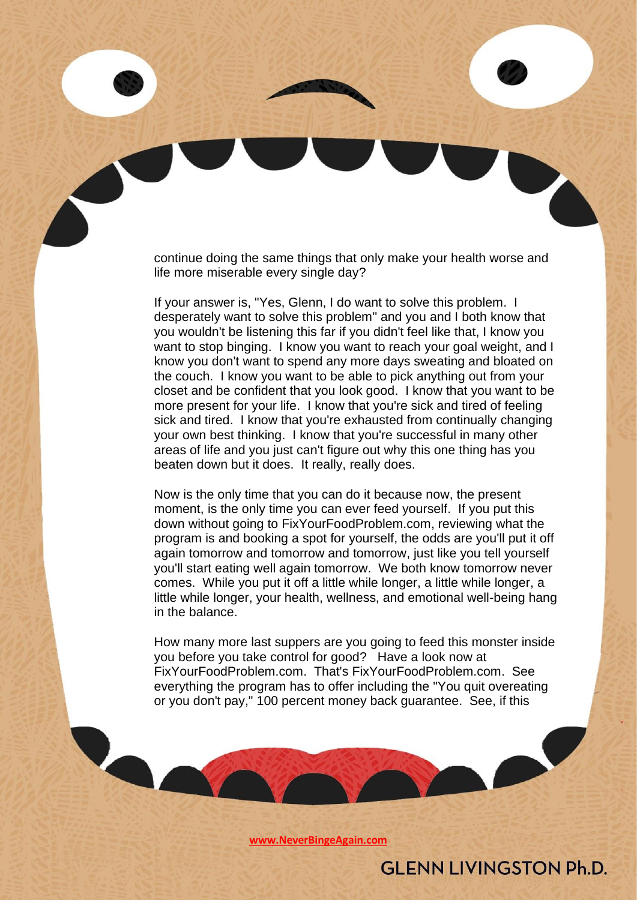continue doing the same things that only make your health worse and life more miserable every single day?

If your answer is, "Yes, Glenn, I do want to solve this problem. I desperately want to solve this problem" and you and I both know that you wouldn't be listening this far if you didn't feel like that, I know you want to stop binging. I know you want to reach your goal weight, and I know you don't want to spend any more days sweating and bloated on the couch. I know you want to be able to pick anything out from your closet and be confident that you look good. I know that you want to be more present for your life. I know that you're sick and tired of feeling sick and tired. I know that you're exhausted from continually changing your own best thinking. I know that you're successful in many other areas of life and you just can't figure out why this one thing has you beaten down but it does. It really, really does.

Now is the only time that you can do it because now, the present moment, is the only time you can ever feed yourself. If you put this down without going to FixYourFoodProblem.com, reviewing what the program is and booking a spot for yourself, the odds are you'll put it off again tomorrow and tomorrow and tomorrow, just like you tell yourself you'll start eating well again tomorrow. We both know tomorrow never comes. While you put it off a little while longer, a little while longer, a little while longer, your health, wellness, and emotional well-being hang in the balance.

How many more last suppers are you going to feed this monster inside you before you take control for good? Have a look now at FixYourFoodProblem.com. That's FixYourFoodProblem.com. See everything the program has to offer including the "You quit overeating or you don't pay," 100 percent money back guarantee. See, if this

**[www.NeverBingeAgain.com](http://www.neverbingeagain.com/)**